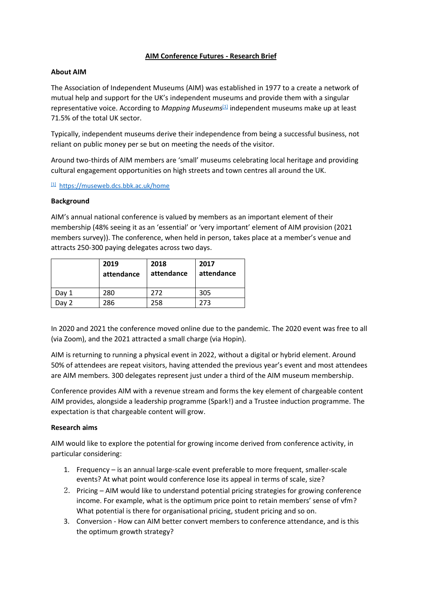# **AIM Conference Futures - Research Brief**

### **About AIM**

The Association of Independent Museums (AIM) was established in 1977 to a create a network of mutual help and support for the UK's independent museums and provide them with a singular representative voice. According to *Mapping Museums*[\[1\]](https://ukc-word-edit.officeapps.live.com/we/wordeditorframe.aspx?ui=en-gb&rs=en-gb&wopisrc=https%3A%2F%2Faimmuseums.sharepoint.com%2Fsites%2Faim-museums%2F_vti_bin%2Fwopi.ashx%2Ffiles%2Fbee646f004bc4bdd835d373012829d90&wdenableroaming=1&mscc=1&hid=2b462d72-e7d6-6c89-1777-a16d2f16711a-1568&uiembed=1&uih=teams&uihit=files&hhdr=1&dchat=1&sc=%7B%22pmo%22%3A%22https%3A%2F%2Fteams.microsoft.com%22%2C%22pmshare%22%3Atrue%2C%22surl%22%3A%22%22%2C%22curl%22%3A%22%22%2C%22vurl%22%3A%22%22%2C%22eurl%22%3A%22https%3A%2F%2Fteams.microsoft.com%2Ffiles%2Fapps%2Fcom.microsoft.teams.files%2Ffiles%2F531644204%2Fopen%3Fagent%3Dpostmessage%26objectUrl%3Dhttps%253A%252F%252Faimmuseums.sharepoint.com%252Fsites%252Faim-museums%252FShared%2520Documents%252FA%2520Marketing%2520and%2520communications%252FResearch%2520and%2520Insight%252FConference%2520research%2520brief%2520(draft).docx%26fileId%3DBEE646F0-04BC-4BDD-835D-373012829D90%26fileType%3Ddocx%26ctx%3Dbim%26scenarioId%3D1568%26locale%3Den-gb%26theme%3Ddefault%26version%3D21120606800%26setting%3Dring.id%3Ageneral%26setting%3DcreatedTime%3A1645194620829%22%7D&wdorigin=TEAMS-ELECTRON.p2p_ns.bim&wdhostclicktime=1645194620678&jsapi=1&jsapiver=v1&newsession=1&corrid=817523e0-2185-453b-a458-4ba64acaa863&usid=817523e0-2185-453b-a458-4ba64acaa863&sftc=1&sams=1&accloop=1&sdr=6&scnd=1&sat=1&hbcv=1&htv=1&hodflp=1&instantedit=1&wopicomplete=1&wdredirectionreason=Unified_SingleFlush&rct=Unknown&ctp=LeastProtected#_ftn1) independent museums make up at least 71.5% of the total UK sector.

Typically, independent museums derive their independence from being a successful business, not reliant on public money per se but on meeting the needs of the visitor.

Around two-thirds of AIM members are 'small' museums celebrating local heritage and providing cultural engagement opportunities on high streets and town centres all around the UK.

[\[1\]](https://ukc-word-edit.officeapps.live.com/we/wordeditorframe.aspx?ui=en-gb&rs=en-gb&wopisrc=https%3A%2F%2Faimmuseums.sharepoint.com%2Fsites%2Faim-museums%2F_vti_bin%2Fwopi.ashx%2Ffiles%2Fbee646f004bc4bdd835d373012829d90&wdenableroaming=1&mscc=1&hid=2b462d72-e7d6-6c89-1777-a16d2f16711a-1568&uiembed=1&uih=teams&uihit=files&hhdr=1&dchat=1&sc=%7B%22pmo%22%3A%22https%3A%2F%2Fteams.microsoft.com%22%2C%22pmshare%22%3Atrue%2C%22surl%22%3A%22%22%2C%22curl%22%3A%22%22%2C%22vurl%22%3A%22%22%2C%22eurl%22%3A%22https%3A%2F%2Fteams.microsoft.com%2Ffiles%2Fapps%2Fcom.microsoft.teams.files%2Ffiles%2F531644204%2Fopen%3Fagent%3Dpostmessage%26objectUrl%3Dhttps%253A%252F%252Faimmuseums.sharepoint.com%252Fsites%252Faim-museums%252FShared%2520Documents%252FA%2520Marketing%2520and%2520communications%252FResearch%2520and%2520Insight%252FConference%2520research%2520brief%2520(draft).docx%26fileId%3DBEE646F0-04BC-4BDD-835D-373012829D90%26fileType%3Ddocx%26ctx%3Dbim%26scenarioId%3D1568%26locale%3Den-gb%26theme%3Ddefault%26version%3D21120606800%26setting%3Dring.id%3Ageneral%26setting%3DcreatedTime%3A1645194620829%22%7D&wdorigin=TEAMS-ELECTRON.p2p_ns.bim&wdhostclicktime=1645194620678&jsapi=1&jsapiver=v1&newsession=1&corrid=817523e0-2185-453b-a458-4ba64acaa863&usid=817523e0-2185-453b-a458-4ba64acaa863&sftc=1&sams=1&accloop=1&sdr=6&scnd=1&sat=1&hbcv=1&htv=1&hodflp=1&instantedit=1&wopicomplete=1&wdredirectionreason=Unified_SingleFlush&rct=Unknown&ctp=LeastProtected#_ftnref1) <https://museweb.dcs.bbk.ac.uk/home>

#### **Background**

AIM's annual national conference is valued by members as an important element of their membership (48% seeing it as an 'essential' or 'very important' element of AIM provision (2021 members survey)). The conference, when held in person, takes place at a member's venue and attracts 250-300 paying delegates across two days.

|       | 2019<br>attendance | 2018<br>attendance | 2017<br>attendance |
|-------|--------------------|--------------------|--------------------|
| Dav 1 | 280                | 272                | 305                |
| )av   | 286                | 258                | 273                |

In 2020 and 2021 the conference moved online due to the pandemic. The 2020 event was free to all (via Zoom), and the 2021 attracted a small charge (via Hopin).

AIM is returning to running a physical event in 2022, without a digital or hybrid element. Around 50% of attendees are repeat visitors, having attended the previous year's event and most attendees are AIM members. 300 delegates represent just under a third of the AIM museum membership.

Conference provides AIM with a revenue stream and forms the key element of chargeable content AIM provides, alongside a leadership programme (Spark!) and a Trustee induction programme. The expectation is that chargeable content will grow.

#### **Research aims**

AIM would like to explore the potential for growing income derived from conference activity, in particular considering:

- 1. Frequency is an annual large-scale event preferable to more frequent, smaller-scale events? At what point would conference lose its appeal in terms of scale, size?
- 2. Pricing AIM would like to understand potential pricing strategies for growing conference income. For example, what is the optimum price point to retain members' sense of vfm? What potential is there for organisational pricing, student pricing and so on.
- 3. Conversion How can AIM better convert members to conference attendance, and is this the optimum growth strategy?